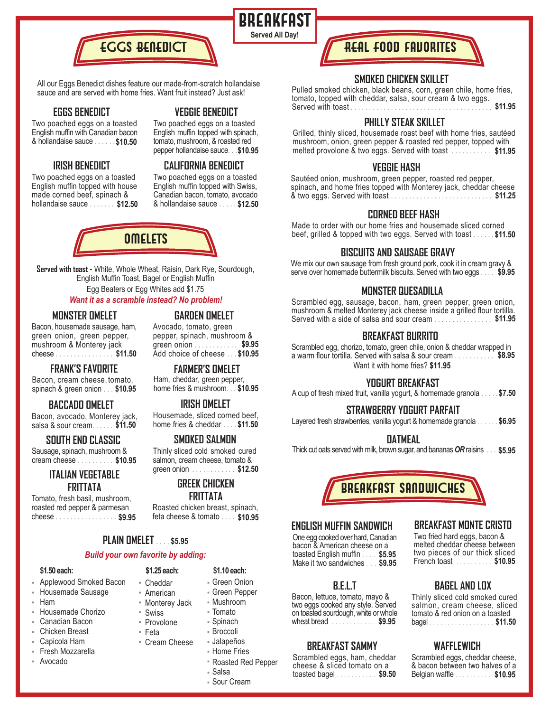

All our Eggs Benedict dishes feature our made-from-scratch hollandaise sauce and are served with home fries. Want fruit instead? Just ask!

#### **EGGS BENEDICT**

Two poached eggs on a toasted **VEGGIE BENEDICT**

English muffin topped with spinach, tomato, mushroom, & roasted red

**BREAKFAST** 

**Served All Day!**

Two poached eggs on a toasted English muffin with Canadian bacon & hollandaise sauce ...... **\$10.50**

## **IRISH BENEDICT**

Two poached eggs on a toasted English muffin topped with house made corned beef, spinach & hollandaise sauce ........ \$12.50

## pepper hollandaise sauce... **\$10.95 CALIFORNIA BENEDICT**

Two poached eggs on a toasted English muffin topped with Swiss, Canadian bacon, tomato, avocado & hollandaise sauce ..... **\$12.50 \$12.50**



**Served with toast -** White, Whole Wheat, Raisin, Dark Rye, Sourdough, English Muffin Toast, Bagel or English Muffin Egg Beaters or Egg Whites add \$1.75

## *Want it as a scramble instead? No problem!*

#### **MONSTER OMELET**

Bacon, housemade sausage, ham, green onion, green pepper, mushroom & Monterey jack cheese ................ **\$11.50**

#### **FRANK'S FAVORITE**

Bacon, cream cheese, tomato, spinach & green onion . . . \$10.95

#### **BACCADO OMELET**

Bacon, avocado, Monterey jack, salsa & sour cream......... \$11.50

## **SOUTH END CLASSIC**

Sausage, spinach, mushroom & cream cheese .......... **\$10.95**

## **ITALIAN VEGETABLE FRITTATA**

Tomato, fresh basil, mushroom, roasted red pepper & parmesan cheese ..................... \$9.95

#### **GARDEN OMELET**

Avocado, tomato, green pepper, spinach, mushroom & green onion ............ **\$9.95** Add choice of cheese ... **\$10.95**

Ham, cheddar, green pepper, home fries & mushroom... **\$10.95 \$10.95 FARMER'S OMELET**

#### **IRISH OMELET**

Housemade, sliced corned beef, home fries & cheddar .... **\$11.50 \$11.50**

#### **SMOKED SALMON**

Thinly sliced cold smoked cured salmon, cream cheese, tomato & green onion ............ **\$12.50**

## **GREEK CHICKEN**

## **FRITTATA**

Roasted chicken breast, spinach, feta cheese & tomato .... **\$9.95 \$10.95**

## **PLAIN OMELET** .... **\$5.95**

#### *Build your own favorite by adding:*

| \$1.50 each:             | \$1.25 each:                |
|--------------------------|-----------------------------|
| Applewood Smoked Bacon   | ■ Cheddar                   |
| <b>Housemade Sausage</b> | - American                  |
| ⊢ Ham                    | " Monterey Jack             |
| <b>Housemade Chorizo</b> | ■ Swiss                     |
| Canadian Bacon           | " Provolone                 |
| ⊦ Chicken Breast         | ▪ Feta                      |
| ⊦ Capicola Ham           | $\blacksquare$ Cream Cheese |

Fresh Mozzarella Avocado

- Cream Cheese
	- - Home Fries Roasted Red Pepper
		- Salsa
		- Sour Cream

Green Onion Green Pepper Mushroom Tomato Spinach Broccoli Jalapeños

**\$1.10 each:**

## REAL F00D favorites

#### **SMOKED CHICKEN SKILLET**

Pulled smoked chicken, black beans, corn, green chile, home fries, tomato, topped with cheddar, salsa, sour cream & two eggs. Served with toast ....................................... **\$11.95**

#### **PHILLY STEAK SKILLET**

Grilled, thinly sliced, housemade roast beef with home fries, sautéed mushroom, onion, green pepper & roasted red pepper, topped with melted provolone & two eggs. Served with toast ........... **\$11.95**

#### **VEGGIE HASH**

Sautéed onion, mushroom, green pepper, roasted red pepper, spinach, and home fries topped with Monterey jack, cheddar cheese & two eggs. Served with toast ............................ **\$11.25**

#### **CORNED BEEF HASH**

Made to order with our home fries and housemade sliced corned beef, grilled & topped with two eggs. Served with toast ...... **\$11.50**

### **BISCUITS AND SAUSAGE GRAVY**

We mix our own sausage from fresh ground pork, cook it in cream gravy & serve over homemade buttermilk biscuits. Served with two eggs .... **\$9.95**

#### **MONSTER QUESADILLA**

Scrambled egg, sausage, bacon, ham, green pepper, green onion, mushroom & melted Monterey jack cheese inside a grilled flour tortilla. Served with a side of salsa and sour cream ................ **\$11.95**

#### **BREAKFAST BURRITO**

Want it with home fries? **\$11.95** a warm flour tortilla. Served with salsa & sour cream . . . . . . . . . . \$8.95 Scrambled egg, chorizo, tomato, green chile, onion & cheddar wrapped in

## **YOGURT BREAKFAST**

A cup of fresh mixed fruit, vanilla yogurt, & homemade granola ..... **\$7.50**

## **STRAWBERRY YOGURT PARFAIT**

Layered fresh strawberries, vanilla yogurt & homemade granola ..... **\$6.95**

#### **OATMEAL**

Thick cut oats served with milk, brown sugar, and bananas *OR* raisins ... **\$5.95**



#### **ENGLISH MUFFIN SANDWICH**

One egg cooked over hard, Canadian bacon & American cheese on a toasted English muffin .... \$5.95<br>Make it two sandwiches ... \$9.95 Make it two sandwiches ...

#### **B.E.L.T**

Bacon, lettuce, tomato, mayo & two eggs cooked any style. Served on toasted sourdough, white or whole wheat bread .....................\$9.95

#### **BREAKFAST SAMMY**

Scrambled eggs, ham, cheddar cheese & sliced tomato on a toasted bagel ........... **\$9.50**

#### **BREAKFAST MONTE CRISTO**

Two fried hard eggs, bacon & melted cheddar cheese between two pieces of our thick sliced \$5.95 two pieces of our thick sliced<br>\$9.95 French toast . . . . . . . . \$10.95

#### **BAGEL AND LOX**

Thinly sliced cold smoked cured salmon, cream cheese, sliced tomato & red onion on a toasted bagel .................. **\$9.95 \$11.50**

## **WAFFLEWICH**

Scrambled eggs, cheddar cheese, & bacon between two halves of a Belgian waffle .......... **\$10.95**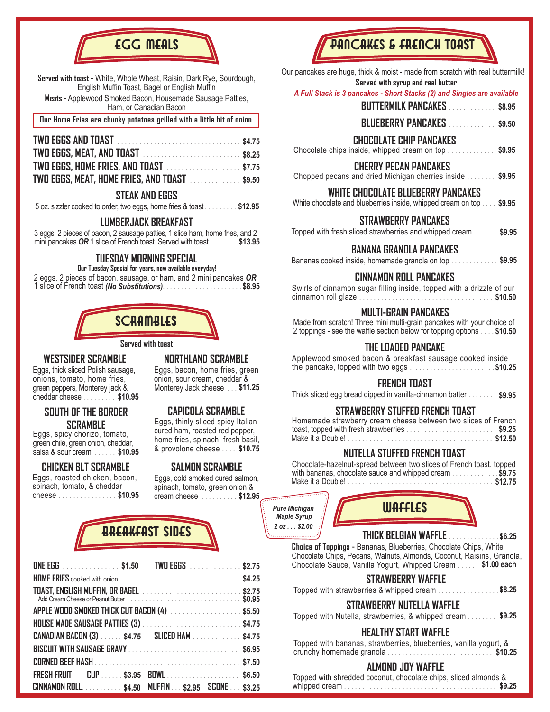

**Served with toast -** White, Whole Wheat, Raisin, Dark Rye, Sourdough, English Muffin Toast, Bagel or English Muffin **Meats -** Applewood Smoked Bacon, Housemade Sausage Patties,

Ham, or Canadian Bacon

**Our Home Fries are chunky potatoes grilled with a little bit of onion**

| TWO EGGS, MEAT, AND TOAST  \$8.25                   |  |
|-----------------------------------------------------|--|
|                                                     |  |
| <b>TWO EGGS, MEAT, HOME FRIES, AND TOAST</b> \$9.50 |  |

#### **STEAK AND EGGS**

5 oz. sizzler cooked to order, two eggs, home fries & toast ......... **\$12.95**

#### **LUMBERJACK BREAKFAST**

3 eggs, 2 pieces of bacon, 2 sausage patties, 1 slice ham, home fries, and 2 mini pancakes *OR* 1 slice of French toast. Served with toast ......... **\$13.95**

## **TUESDAY MORNING SPECIAL**

**Our Tuesday Special for years, now available everyday!** 2 eggs, 2 pieces of bacon, sausage, or ham, and 2 mini pancakes *OR* 1 slice of French toast *(No Substitutions)*...................... **\$8.95**



**Served with toast**

#### **WESTSIDER SCRAMBLE NORTHLAND SCRAMBLE**

Eggs, thick sliced Polish sausage, onions, tomato, home fries, green peppers, Monterey jack & cheddar cheese ......... **\$10.95**

#### **SOUTH OF THE BORDER SCRAMBLE**

Eggs, spicy chorizo, tomato, green chile, green onion, cheddar, salsa & sour cream ....... \$10.95

#### **CHICKEN BLT SCRAMBLE**

Eggs, roasted chicken, bacon, spinach, tomato, & cheddar cheese .................... \$10.95

Eggs, bacon, home fries, green onion, sour cream, cheddar & Monterey Jack cheese ... **\$11.25**

## **CAPICOLA SCRAMBLE**

Eggs, thinly sliced spicy Italian cured ham, roasted red pepper, home fries, spinach, fresh basil, & provolone cheese .... **\$10.75 \$10.95**

#### **SALMON SCRAMBLE**

Eggs, cold smoked cured salmon, spinach, tomato, green onion & cream cheese .......... **\$10.95 \$12.95**

# BREAKFAST SIDES

| <b>ONE EGG</b> \$1.50 TWO EGGS \$2.75                |  |  |
|------------------------------------------------------|--|--|
|                                                      |  |  |
|                                                      |  |  |
| APPLE WOOD SMOKED THICK CUT BACON (4) \$5.50         |  |  |
| HOUSE MADE SAUSAGE PATTIES (3)  \$4.75               |  |  |
| <b>CANADIAN BACON (3)  \$4.75 SLICED HAM  \$4.75</b> |  |  |
|                                                      |  |  |
|                                                      |  |  |
| FRESH FRUIT CUP \$3.95 BOWL \$6.50                   |  |  |
| CINNAMON ROLL \$4.50 MUFFIN \$2.95 SCONE \$3.25      |  |  |

# PANCAKES & FRENCH TOAST

Our pancakes are huge, thick & moist - made from scratch with real buttermilk!  **Served with syrup and real butter**

#### *A Full Stack is 3 pancakes - Short Stacks (2) and Singles are available*

- **BUTTERMILK PANCAKES** ............. **\$8.95**
- **BLUEBERRY PANCAKES** ............. **\$9.50**

#### **CHOCOLATE CHIP PANCAKES**

Chocolate chips inside, whipped cream on top ............. **\$9.95**

#### **CHERRY PECAN PANCAKES**

**\$9.95** Chopped pecans and dried Michigan cherries inside ........ **WHITE CHOCOLATE BLUEBERRY PANCAKES**

White chocolate and blueberries inside, whipped cream on top . . . . **\$9.95** 

#### **STRAWBERRY PANCAKES**

Topped with fresh sliced strawberries and whipped cream ....... **\$9.95**

#### **BANANA GRANOLA PANCAKES**

Bananas cooked inside, homemade granola on top ............. **\$9.95**

#### **CINNAMON ROLL PANCAKES**

| Swirls of cinnamon sugar filling inside, topped with a drizzle of our |  |         |
|-----------------------------------------------------------------------|--|---------|
| cinnamon roll glaze                                                   |  | \$10.50 |

## **MULTI-GRAIN PANCAKES**

2 toppings - see the waffle section below for topping options ..... \$10.50 Made from scratch! Three mini multi-grain pancakes with your choice of

## **THE LOADED PANCAKE**

Applewood smoked bacon & breakfast sausage cooked inside the pancake, topped with two eggs ........................ **\$10.25**

## **FRENCH TOAST**

Thick sliced egg bread dipped in vanilla-cinnamon batter ........ **\$9.95**

#### **STRAWBERRY STUFFED FRENCH TOAST**

| Homemade strawberry cream cheese between two slices of French |  |
|---------------------------------------------------------------|--|
|                                                               |  |
|                                                               |  |

## **NUTELLA STUFFED FRENCH TOAST**

Make it a Double! ........................................ **\$12.75** Chocolate-hazelnut-spread between two slices of French toast, topped with bananas, chocolate sauce and whipped cream ............. **\$9.75**

*Pure Michigan Maple Syrup 2 oz . . . \$2.00*



**THICK BELGIAN WAFFLE** .............. **\$6.25**

**Choice of Toppings -** Bananas, Blueberries, Chocolate Chips, White Chocolate Chips, Pecans, Walnuts, Almonds, Coconut, Raisins, Granola, Chocolate Sauce, Vanilla Yogurt, Whipped Cream ...... **\$1.00 each**

| STRAWBERRY WAFFLE |  |
|-------------------|--|
|-------------------|--|

Topped with strawberries & whipped cream ................. **\$8.25**

**STRAWBERRY NUTELLA WAFFLE**

Topped with Nutella, strawberries, & whipped cream ........ **\$9.25** 

## **HEALTHY START WAFFLE**

Topped with bananas, strawberries, blueberries, vanilla yogurt, & crunchy homemade granola ............................. **\$10.25**

#### **ALMOND JOY WAFFLE**

Topped with shredded coconut, chocolate chips, sliced almonds & whipped cream .......................................... **\$9.25**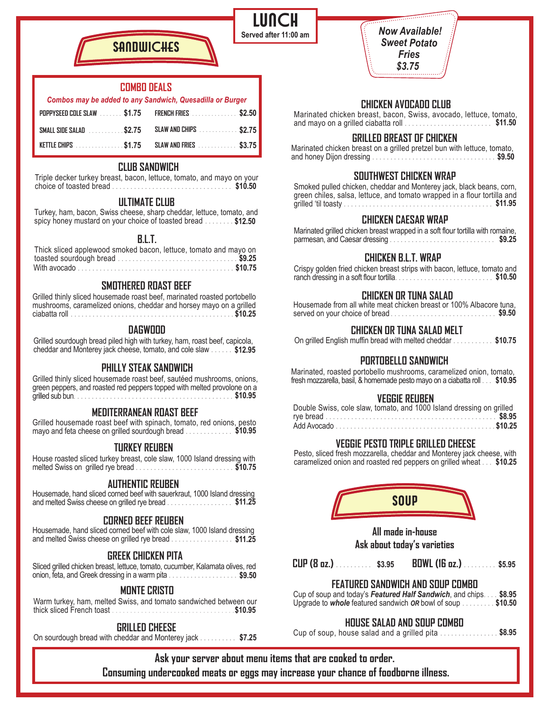*Now Available! Sweet Potato Fries \$3.75* 

## **CHICKEN AVOCADO CLUB**

and mayo on a grilled ciabatta roll .................................\$11.50 Marinated chicken breast, bacon, Swiss, avocado, lettuce, tomato,

#### **GRILLED BREAST OF CHICKEN**

Marinated chicken breast on a grilled pretzel bun with lettuce, tomato, and honey Dijon dressing .................................. **\$9.50**

### **SOUTHWEST CHICKEN WRAP**

| Smoked pulled chicken, cheddar and Monterey jack, black beans, corn,     |
|--------------------------------------------------------------------------|
| green chiles, salsa, lettuce, and tomato wrapped in a flour tortilla and |
| \$11.95<br>qrilled 'til toasty                                           |

#### **CHICKEN CAESAR WRAP**

**\$9.25** parmesan, and Caesar dressing ............................. Marinated grilled chicken breast wrapped in a soft flour tortilla with romaine,

#### **CHICKEN B.L.T. WRAP**

Crispy golden fried chicken breast strips with bacon, lettuce, tomato and ranch dressing in a soft flour tortilla........................... **\$10.50**

#### **CHICKEN OR TUNA SALAD**

| Housemade from all white meat chicken breast or 100% Albacore tuna, |   |  |        |
|---------------------------------------------------------------------|---|--|--------|
| served on your choice of bread.                                     | . |  | \$9.50 |

**CHICKEN OR TUNA SALAD MELT**

On grilled English muffin bread with melted cheddar ........... **\$10.75**

#### **PORTOBELLO SANDWICH**

Marinated, roasted portobello mushrooms, caramelized onion, tomato, fresh mozzarella, basil, & homemade pesto mayo on a ciabatta roll ... **\$10.95**

#### **VEGGIE REUBEN**

## **VEGGIE PESTO TRIPLE GRILLED CHEESE**

Pesto, sliced fresh mozzarella, cheddar and Monterey jack cheese, with caramelized onion and roasted red peppers on grilled wheat ... **\$10.25**



**All made in-house Ask about today's varieties**

**CUP (8 oz.)** .......... **\$3.95 BOWL (16 oz.)** ......... **\$5.95**

#### **FEATURED SANDWICH AND SOUP COMBO**

Cup of soup and today's *Featured Half Sandwich*, and chips.... **\$8.95** Upgrade to *whole* featured sandwich *OR* bowl of soup ......... **\$10.50**

## **HOUSE SALAD AND SOUP COMBO**

Cup of soup, house salad and a grilled pita ................ **\$8.95**

**Ask your server about menu items that are cooked to order. Consuming undercooked meats or eggs may increase your chance of foodborne illness.**

**LUNCH Served after 11:00 am**

#### **COMBO DEALS**

**SANNUICHES** 

## *Combos may be added to any Sandwich, Quesadilla or Burger*

| POPPYSEED COLE SLAW \$1.75                | <b>FRENCH FRIES</b> \$2.50 |
|-------------------------------------------|----------------------------|
| SMALL SIDE SALAD \$2.75                   | SLAW AND CHIPS \$2.75      |
| KETTLE CHIPS \$1.75 SLAW AND FRIES \$3.75 |                            |

#### **CLUB SANDWICH**

Triple decker turkey breast, bacon, lettuce, tomato, and mayo on your choice of toasted bread ................................. **\$10.50**

#### **ULTIMATE CLUB**

Turkey, ham, bacon, Swiss cheese, sharp cheddar, lettuce, tomato, and spicy honey mustard on your choice of toasted bread ........ **\$12.50**

#### **B.L.T.**

#### **SMOTHERED ROAST BEEF**

Grilled thinly sliced housemade roast beef, marinated roasted portobello mushrooms, caramelized onions, cheddar and horsey mayo on a grilled ciabatta roll ............................................. **\$10.25**

#### **DAGWOOD**

Grilled sourdough bread piled high with turkey, ham, roast beef, capicola, cheddar and Monterey jack cheese, tomato, and cole slaw ...... **\$12.95**

#### **PHILLY STEAK SANDWICH**

Grilled thinly sliced housemade roast beef, sautéed mushrooms, onions, green peppers, and roasted red peppers topped with melted provolone on a grilled sub bun........... **\$10.95**

#### **MEDITERRANEAN ROAST BEEF**

Grilled housemade roast beef with spinach, tomato, red onions, pesto mayo and feta cheese on grilled sourdough bread ............. **\$10.95**

#### **TURKEY REUBEN**

House roasted sliced turkey breast, cole slaw, 1000 Island dressing with melted Swiss on grilled rye bread ........................... **\$10.75**

## **AUTHENTIC REUBEN**

Housemade, hand sliced corned beef with sauerkraut, 1000 Island dressing and melted Swiss cheese on grilled rye bread .................. **\$11.25**

#### **CORNED BEEF REUBEN**

Housemade, hand sliced corned beef with cole slaw, 1000 Island dressing and melted Swiss cheese on grilled rye bread ................. **\$11.25**

### **GREEK CHICKEN PITA**

onion, feta, and Greek dressing in a warm pita .........................\$9.50 Sliced grilled chicken breast, lettuce, tomato, cucumber, Kalamata olives, red

#### **MONTE CRISTO**

Warm turkey, ham, melted Swiss, and tomato sandwiched between our thick sliced French toast .................................. **\$10.95**

#### **GRILLED CHEESE**

On sourdough bread with cheddar and Monterey jack .......... **\$7.25**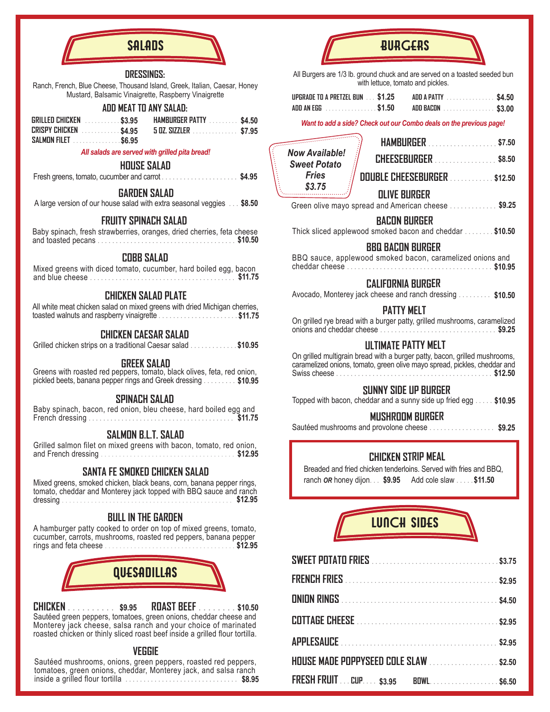

#### **DRESSINGS:**

Ranch, French, Blue Cheese, Thousand Island, Greek, Italian, Caesar, Honey Mustard, Balsamic Vinaigrette, Raspberry Vinaigrette

### **ADD MEAT TO ANY SALAD:**

| GRILLED CHICKEN \$3.95 | <b>HAMBURGER PATTY</b> \$4.50              |  |
|------------------------|--------------------------------------------|--|
|                        | CRISPY CHICKEN \$4.95 5 DZ. SIZZLER \$7.95 |  |
| SALMON FILET \$6.95    |                                            |  |

#### *All salads are served with grilled pita bread!*

#### **HOUSE SALAD**

Fresh greens, tomato, cucumber and carrot ..................... **\$4.95**

#### **GARDEN SALAD**

A large version of our house salad with extra seasonal veggies ... **\$8.50**

#### **FRUITY SPINACH SALAD**

Baby spinach, fresh strawberries, oranges, dried cherries, feta cheese and toasted pecans ...................................... **\$10.50**

#### **COBB SALAD**

| Mixed greens with diced tomato, cucumber, hard boiled egg, bacon |  |  |  |         |
|------------------------------------------------------------------|--|--|--|---------|
| and blue cheese.                                                 |  |  |  | \$11.75 |

## **CHICKEN SALAD PLATE**

All white meat chicken salad on mixed greens with dried Michigan cherries, toasted walnuts and raspberry vinaigrette ...................... **\$11.75**

#### **CHICKEN CAESAR SALAD**

Grilled chicken strips on a traditional Caesar salad ............. **\$10.95**

#### **GREEK SALAD**

Greens with roasted red peppers, tomato, black olives, feta, red onion, pickled beets, banana pepper rings and Greek dressing ......... **\$10.95**

#### **SPINACH SALAD**

| Baby spinach, bacon, red onion, bleu cheese, hard boiled egg and |  |  |  |  |         |
|------------------------------------------------------------------|--|--|--|--|---------|
| French dressing.                                                 |  |  |  |  | \$11.75 |

#### **SALMON B.L.T. SALAD**

Grilled salmon filet on mixed greens with bacon, tomato, red onion, and French dressing ..................................... **\$12.95**

## **SANTA FE SMOKED CHICKEN SALAD**

Mixed greens, smoked chicken, black beans, corn, banana pepper rings, tomato, cheddar and Monterey jack topped with BBQ sauce and ranch dressing ............................................... **\$12.95**

#### **BULL IN THE GARDEN**

A hamburger patty cooked to order on top of mixed greens, tomato, cucumber, carrots, mushrooms, roasted red peppers, banana pepper rings and feta cheese .................................... **\$12.95**



**CHICKEN** .......... **\$9.95 ROAST BEEF** ........ **\$10.50** Sautéed green peppers, tomatoes, green onions, cheddar cheese and Monterey jack cheese, salsa ranch and your choice of marinated roasted chicken or thinly sliced roast beef inside a grilled flour tortilla.

#### **VEGGIE**

Sautéed mushrooms, onions, green peppers, roasted red peppers, tomatoes, green onions, cheddar, Monterey jack, and salsa ranch inside a grilled flour tortilla ............................... **\$8.95**

## **BURGERS**

All Burgers are 1/3 lb. ground chuck and are served on a toasted seeded bun with lettuce, tomato and pickles.

| UPGRADE TO A PRETZEL BUN \$1.25 | ADD A PATTY \$4.50 |
|---------------------------------|--------------------|
| ADD AN EGG \$1.50               | ADD BACON \$3,00   |

*Want to add a side? Check out our Combo deals on the previous page!*

|                                              | HAMBURGER \$7.50                                                               |  |
|----------------------------------------------|--------------------------------------------------------------------------------|--|
| <b>Now Available!</b><br><b>Sweet Potato</b> | <b>CHEESEBURGER</b> \$8.50                                                     |  |
| <b>Fries</b><br>\$3.75                       | DOUBLE CHEESEBURGER \$12.50                                                    |  |
|                                              | <b>QLIVE BURGER</b><br>Green olive mayo spread and American cheese  \$9.25     |  |
|                                              | <b>BACON BURGER</b><br>Thick sliced applewood smoked bacon and cheddar \$10.50 |  |

#### **BBQ BACON BURGER**

BBQ sauce, applewood smoked bacon, caramelized onions and cheddar cheese ........................................ **\$10.95**

#### **CALIFORNIA BURGER**

| Avocado, Monterey jack cheese and ranch dressing<br>\$10.50 |
|-------------------------------------------------------------|
|-------------------------------------------------------------|

#### **PATTY MELT**

| On grilled rye bread with a burger patty, grilled mushrooms, caramelized |  |        |
|--------------------------------------------------------------------------|--|--------|
| onions and cheddar cheese .                                              |  | \$9.25 |

#### **ULTIMATE PATTY MELT**

On grilled multigrain bread with a burger patty, bacon, grilled mushrooms, caramelized onions, tomato, green olive mayo spread, pickles, cheddar and Swiss cheese ........................................... **\$12.50**

#### **SUNNY SIDE UP BURGER**

Topped with bacon, cheddar and a sunny side up fried egg ..... **\$10.95**

#### **MUSHROOM BURGER**

Sautéed mushrooms and provolone cheese .................. **\$9.25**

### **CHICKEN STRIP MEAL**

Add cole slaw ..... ranch *OR* honey dijon... **\$9.95 \$11.50** Breaded and fried chicken tenderloins. Served with fries and BBQ,



| HOUSE MADE POPPYSEED COLE SLAW  \$2.50 |  |
|----------------------------------------|--|
| FRESH FRUIT CUP \$3.95 BOWL \$6.50     |  |